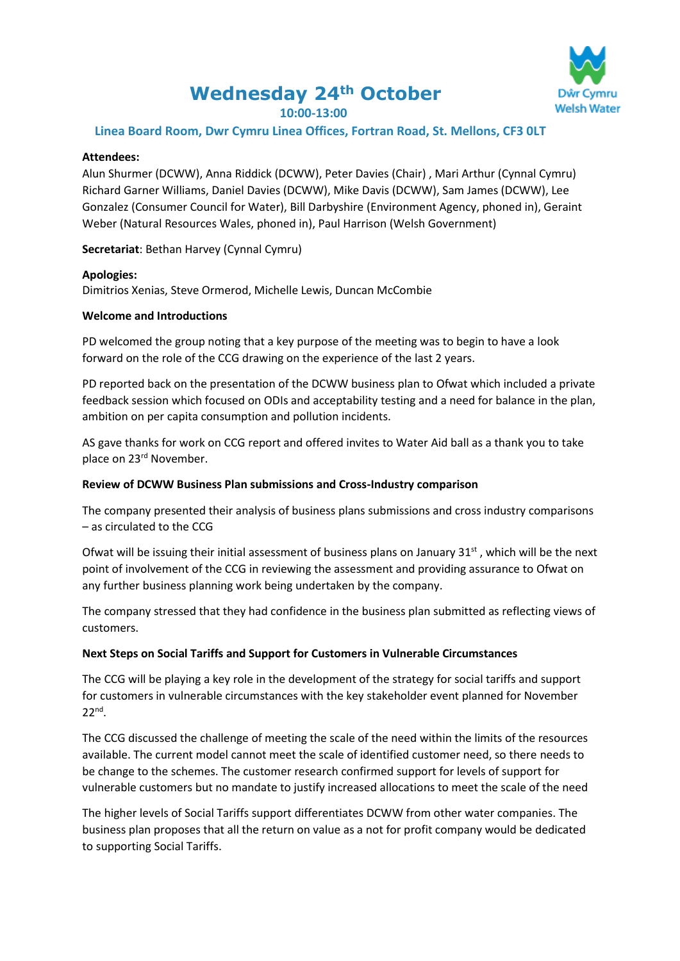# **Wednesday 24th October**



## **10:00-13:00**

## **Linea Board Room, Dwr Cymru Linea Offices, Fortran Road, St. Mellons, CF3 0LT**

#### **Attendees:**

Alun Shurmer (DCWW), Anna Riddick (DCWW), Peter Davies (Chair) , Mari Arthur (Cynnal Cymru) Richard Garner Williams, Daniel Davies (DCWW), Mike Davis (DCWW), Sam James (DCWW), Lee Gonzalez (Consumer Council for Water), Bill Darbyshire (Environment Agency, phoned in), Geraint Weber (Natural Resources Wales, phoned in), Paul Harrison (Welsh Government)

**Secretariat**: Bethan Harvey (Cynnal Cymru)

#### **Apologies:**

Dimitrios Xenias, Steve Ormerod, Michelle Lewis, Duncan McCombie

#### **Welcome and Introductions**

PD welcomed the group noting that a key purpose of the meeting was to begin to have a look forward on the role of the CCG drawing on the experience of the last 2 years.

PD reported back on the presentation of the DCWW business plan to Ofwat which included a private feedback session which focused on ODIs and acceptability testing and a need for balance in the plan, ambition on per capita consumption and pollution incidents.

AS gave thanks for work on CCG report and offered invites to Water Aid ball as a thank you to take place on 23rd November.

#### **Review of DCWW Business Plan submissions and Cross-Industry comparison**

The company presented their analysis of business plans submissions and cross industry comparisons – as circulated to the CCG

Ofwat will be issuing their initial assessment of business plans on January  $31<sup>st</sup>$ , which will be the next point of involvement of the CCG in reviewing the assessment and providing assurance to Ofwat on any further business planning work being undertaken by the company.

The company stressed that they had confidence in the business plan submitted as reflecting views of customers.

## **Next Steps on Social Tariffs and Support for Customers in Vulnerable Circumstances**

The CCG will be playing a key role in the development of the strategy for social tariffs and support for customers in vulnerable circumstances with the key stakeholder event planned for November 22nd .

The CCG discussed the challenge of meeting the scale of the need within the limits of the resources available. The current model cannot meet the scale of identified customer need, so there needs to be change to the schemes. The customer research confirmed support for levels of support for vulnerable customers but no mandate to justify increased allocations to meet the scale of the need

The higher levels of Social Tariffs support differentiates DCWW from other water companies. The business plan proposes that all the return on value as a not for profit company would be dedicated to supporting Social Tariffs.